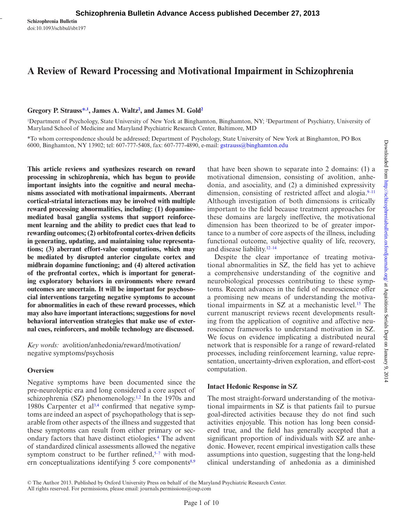# **A Review of Reward Processing and Motivational Impairment in Schizophrenia**

#### **Gregory P. Strauss[\\*](#page-0-0),[1](#page-0-1) , James A. Walt[z2](#page-0-2) , and James M. Gol[d2](#page-0-2)**

<span id="page-0-2"></span><span id="page-0-1"></span><sup>1</sup>Department of Psychology, State University of New York at Binghamton, Binghamton, NY; <sup>2</sup>Department of Psychiatry, University of Maryland School of Medicine and Maryland Psychiatric Research Center, Baltimore, MD

<span id="page-0-0"></span>\*To whom correspondence should be addressed; Department of Psychology, State University of New York at Binghamton, PO Box 6000, Binghamton, NY 13902; tel: 607-777-5408, fax: 607-777-4890, e-mail: [gstrauss@binghamton.edu](mailto:gstrauss@binghamton.edu)

**This article reviews and synthesizes research on reward processing in schizophrenia, which has begun to provide important insights into the cognitive and neural mechanisms associated with motivational impairments. Aberrant cortical-striatal interactions may be involved with multiple reward processing abnormalities, including: (1) dopaminemediated basal ganglia systems that support reinforcement learning and the ability to predict cues that lead to rewarding outcomes; (2) orbitofrontal cortex-driven deficits in generating, updating, and maintaining value representations; (3) aberrant effort-value computations, which may be mediated by disrupted anterior cingulate cortex and midbrain dopamine functioning; and (4) altered activation of the prefrontal cortex, which is important for generating exploratory behaviors in environments where reward outcomes are uncertain. It will be important for psychosocial interventions targeting negative symptoms to account for abnormalities in each of these reward processes, which may also have important interactions; suggestions for novel behavioral intervention strategies that make use of external cues, reinforcers, and mobile technology are discussed.**

*Key words:* avolition/anhedonia/reward/motivation/ negative symptoms/psychosis

## **Overview**

Negative symptoms have been documented since the pre-neuroleptic era and long considered a core aspect of schizophrenia (SZ) phenomenology.<sup>[1](#page-7-0)[,2](#page-7-1)</sup> In the 1970s and 1980s Carpenter et al $3,4$  $3,4$  confirmed that negative symptoms are indeed an aspect of psychopathology that is separable from other aspects of the illness and suggested that these symptoms can result from either primary or secondary factors that have distinct etiologies.[4](#page-7-3) The advent of standardized clinical assessments allowed the negative symptom construct to be further refined, $5-7$  with mod-ern conceptualizations identifying 5 core components<sup>8,[9](#page-7-6)</sup>

that have been shown to separate into 2 domains: (1) a motivational dimension, consisting of avolition, anhedonia, and asociality, and (2) a diminished expressivity dimension, consisting of restricted affect and alogia.<sup>[9–11](#page-7-6)</sup> Although investigation of both dimensions is critically important to the field because treatment approaches for these domains are largely ineffective, the motivational dimension has been theorized to be of greater importance to a number of core aspects of the illness, including functional outcome, subjective quality of life, recovery, and disease liability[.12–14](#page-7-7)

Despite the clear importance of treating motivational abnormalities in SZ, the field has yet to achieve a comprehensive understanding of the cognitive and neurobiological processes contributing to these symptoms. Recent advances in the field of neuroscience offer a promising new means of understanding the motivational impairments in SZ at a mechanistic level.[15](#page-7-8) The current manuscript reviews recent developments resulting from the application of cognitive and affective neuroscience frameworks to understand motivation in SZ. We focus on evidence implicating a distributed neural network that is responsible for a range of reward-related processes, including reinforcement learning, value representation, uncertainty-driven exploration, and effort-cost computation.

## **Intact Hedonic Response in SZ**

The most straight-forward understanding of the motivational impairments in SZ is that patients fail to pursue goal-directed activities because they do not find such activities enjoyable. This notion has long been considered true, and the field has generally accepted that a significant proportion of individuals with SZ are anhedonic. However, recent empirical investigation calls these assumptions into question, suggesting that the long-held clinical understanding of anhedonia as a diminished

© The Author 2013. Published by Oxford University Press on behalf of the Maryland Psychiatric Research Center. All rights reserved. For permissions, please email: journals.permissions@oup.com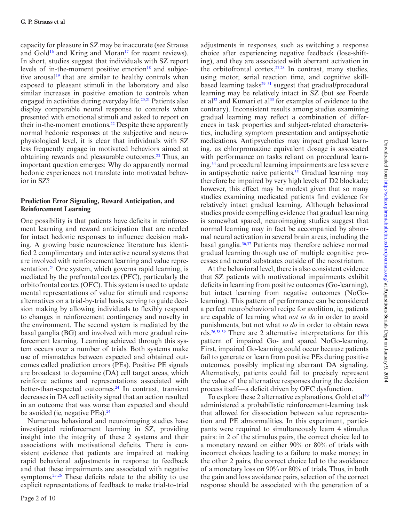capacity for pleasure in SZ may be inaccurate (see Strauss and Gold<sup>16</sup> and Kring and Moran<sup>[17](#page-7-10)</sup> for recent reviews). In short, studies suggest that individuals with SZ report levels of in-the-moment positive emotion $18$  and subjective arousal<sup>19</sup> that are similar to healthy controls when exposed to pleasant stimuli in the laboratory and also similar increases in positive emotion to controls when engaged in activities during everyday life.<sup>20,21</sup> Patients also display comparable neural response to controls when presented with emotional stimuli and asked to report on their in-the-moment emotions.<sup>22</sup> Despite these apparently normal hedonic responses at the subjective and neurophysiological level, it is clear that individuals with SZ less frequently engage in motivated behaviors aimed at obtaining rewards and pleasurable outcomes.<sup>[23](#page-7-16)</sup> Thus, an important question emerges: Why do apparently normal hedonic experiences not translate into motivated behavior in SZ?

#### **Prediction Error Signaling, Reward Anticipation, and Reinforcement Learning**

One possibility is that patients have deficits in reinforcement learning and reward anticipation that are needed for intact hedonic responses to influence decision making. A growing basic neuroscience literature has identified 2 complimentary and interactive neural systems that are involved with reinforcement learning and value representation.<sup>24</sup> One system, which governs rapid learning, is mediated by the prefrontal cortex (PFC), particularly the orbitofrontal cortex (OFC). This system is used to update mental representations of value for stimuli and response alternatives on a trial-by-trial basis, serving to guide decision making by allowing individuals to flexibly respond to changes in reinforcement contingency and novelty in the environment. The second system is mediated by the basal ganglia (BG) and involved with more gradual reinforcement learning. Learning achieved through this system occurs over a number of trials. Both systems make use of mismatches between expected and obtained outcomes called prediction errors (PEs). Positive PE signals are broadcast to dopamine (DA) cell target areas, which reinforce actions and representations associated with better-than-expected outcomes.<sup>24</sup> In contrast, transient decreases in DA cell activity signal that an action resulted in an outcome that was worse than expected and should be avoided (ie, negative PEs).<sup>24</sup>

Numerous behavioral and neuroimaging studies have investigated reinforcement learning in SZ, providing insight into the integrity of these 2 systems and their associations with motivational deficits. There is consistent evidence that patients are impaired at making rapid behavioral adjustments in response to feedback and that these impairments are associated with negative symptoms.<sup>[25,](#page-7-18)26</sup> These deficits relate to the ability to use explicit representations of feedback to make trial-to-trial

choice after experiencing negative feedback (lose-shifting), and they are associated with aberrant activation in the orbitofrontal cortex[.27](#page-7-20),[28](#page-7-21) In contrast, many studies, using motor, serial reaction time, and cognitive skillbased learning tasks $29-31$  suggest that gradual/procedural learning may be relatively intact in SZ (but see Foerde et al<sup>32</sup> and Kumari et al<sup>33</sup> for examples of evidence to the contrary). Inconsistent results among studies examining gradual learning may reflect a combination of differences in task properties and subject-related characteristics, including symptom presentation and antipsychotic medications. Antipsychotics may impact gradual learning, as chlorpromazine equivalent dosage is associated with performance on tasks reliant on procedural learning,<sup>34</sup> and procedural learning impairments are less severe in antipsychotic naive patients.<sup>35</sup> Gradual learning may therefore be impaired by very high levels of D2 blockade; however, this effect may be modest given that so many studies examining medicated patients find evidence for relatively intact gradual learning. Although behavioral studies provide compelling evidence that gradual learning is somewhat spared, neuroimaging studies suggest that normal learning may in fact be accompanied by abnormal neural activation in several brain areas, including the basal ganglia.<sup>[36,](#page-8-0)37</sup> Patients may therefore achieve normal gradual learning through use of multiple cognitive processes and neural substrates outside of the neostriatum.

adjustments in responses, such as switching a response

At the behavioral level, there is also consistent evidence that SZ patients with motivational impairments exhibit deficits in learning from positive outcomes (Go-learning), but intact learning from negative outcomes (NoGolearning). This pattern of performance can be considered a perfect neurobehavioral recipe for avolition, ie, patients are capable of learning what *not to do* in order to avoid punishments, but not what *to do* in order to obtain rewa rds.[26,](#page-7-19)[38,](#page-8-2)[39](#page-8-3) There are 2 alternative interpretations for this pattern of impaired Go- and spared NoGo-learning. First, impaired Go-learning could occur because patients fail to generate or learn from positive PEs during positive outcomes, possibly implicating aberrant DA signaling. Alternatively, patients could fail to precisely represent the value of the alternative responses during the decision process itself—a deficit driven by OFC dysfunction.

To explore these 2 alternative explanations, Gold et  $al^{40}$  $al^{40}$  $al^{40}$ administered a probabilistic reinforcement-learning task that allowed for dissociation between value representation and PE abnormalities. In this experiment, participants were required to simultaneously learn 4 stimulus pairs: in 2 of the stimulus pairs, the correct choice led to a monetary reward on either 90% or 80% of trials with incorrect choices leading to a failure to make money; in the other 2 pairs, the correct choice led to the avoidance of a monetary loss on 90% or 80% of trials. Thus, in both the gain and loss avoidance pairs, selection of the correct response should be associated with the generation of a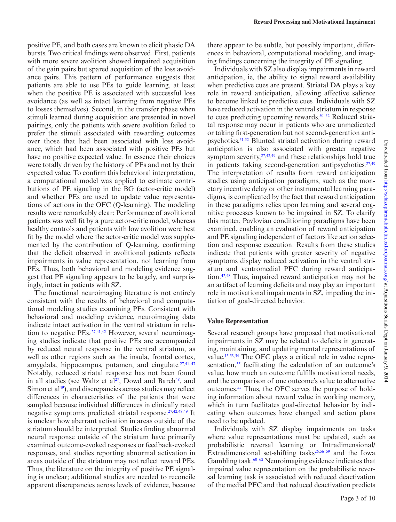positive PE, and both cases are known to elicit phasic DA bursts. Two critical findings were observed. First, patients with more severe avolition showed impaired acquisition of the gain pairs but spared acquisition of the loss avoidance pairs. This pattern of performance suggests that patients are able to use PEs to guide learning, at least when the positive PE is associated with successful loss avoidance (as well as intact learning from negative PEs to losses themselves). Second, in the transfer phase when stimuli learned during acquisition are presented in novel pairings, only the patients with severe avolition failed to prefer the stimuli associated with rewarding outcomes over those that had been associated with loss avoidance, which had been associated with positive PEs but have no positive expected value. In essence their choices were totally driven by the history of PEs and not by their expected value. To confirm this behavioral interpretation, a computational model was applied to estimate contributions of PE signaling in the BG (actor-critic model) and whether PEs are used to update value representations of actions in the OFC (Q-learning). The modeling results were remarkably clear: Performance of avolitional patients was well fit by a pure actor-critic model, whereas healthy controls and patients with low avolition were best fit by the model where the actor-critic model was supplemented by the contribution of Q-learning, confirming that the deficit observed in avolitional patients reflects impairments in value representation, not learning from PEs. Thus, both behavioral and modeling evidence suggest that PE signaling appears to be largely, and surprisingly, intact in patients with SZ.

The functional neuroimaging literature is not entirely consistent with the results of behavioral and computational modeling studies examining PEs. Consistent with behavioral and modeling evidence, neuroimaging data indicate intact activation in the ventral striatum in relation to negative  $PEs$ ,  $27,41,42$  $27,41,42$  $27,41,42$  However, several neuroimaging studies indicate that positive PEs are accompanied by reduced neural response in the ventral striatum, as well as other regions such as the insula, frontal cortex, amygdala, hippocampus, putamen, and cingulate.<sup>[27](#page-7-20),41-47</sup> Notably, reduced striatal response has not been found in all studies (see Waltz et  $al^{27}$ , Dowd and Barch<sup>48</sup>, and Simon et al<sup>49</sup>), and discrepancies across studies may reflect differences in characteristics of the patients that were sampled because individual differences in clinically rated negative symptoms predicted striatal response.<sup>27,[42,](#page-8-6)[48](#page-8-7),49</sup> It is unclear how aberrant activation in areas outside of the striatum should be interpreted. Studies finding abnormal neural response outside of the striatum have primarily examined outcome-evoked responses or feedback-evoked responses, and studies reporting abnormal activation in areas outside of the striatum may not reflect reward PEs. Thus, the literature on the integrity of positive PE signaling is unclear; additional studies are needed to reconcile apparent discrepancies across levels of evidence, because

there appear to be subtle, but possibly important, differences in behavioral, computational modeling, and imaging findings concerning the integrity of PE signaling.

Individuals with SZ also display impairments in reward anticipation, ie, the ability to signal reward availability when predictive cues are present. Striatal DA plays a key role in reward anticipation, allowing affective salience to become linked to predictive cues. Individuals with SZ have reduced activation in the ventral striatum in response to cues predicting upcoming rewards.<sup>50–52</sup> Reduced striatal response may occur in patients who are unmedicated or taking first-generation but not second-generation antipsychotics[.51](#page-8-10)[,52](#page-8-11) Blunted striatal activation during reward anticipation is also associated with greater negative symptom severity, $27,42,49$  $27,42,49$  $27,42,49$  and these relationships hold true in patients taking second-generation antipsychotics.<sup>27,[49](#page-8-8)</sup> The interpretation of results from reward anticipation studies using anticipation paradigms, such as the monetary incentive delay or other instrumental learning paradigms, is complicated by the fact that reward anticipation in these paradigms relies upon learning and several cognitive processes known to be impaired in SZ. To clarify this matter, Pavlovian conditioning paradigms have been examined, enabling an evaluation of reward anticipation and PE signaling independent of factors like action selection and response execution. Results from these studies indicate that patients with greater severity of negative symptoms display reduced activation in the ventral striatum and ventromedial PFC during reward anticipation.[42,](#page-8-6)[48](#page-8-7) Thus, impaired reward anticipation may not be an artifact of learning deficits and may play an important role in motivational impairments in SZ, impeding the initiation of goal-directed behavior.

#### **Value Representation**

Several research groups have proposed that motivational impairments in SZ may be related to deficits in generating, maintaining, and updating mental representations of value.<sup>[15,](#page-7-8)[53](#page-8-12)[,54](#page-8-13)</sup> The OFC plays a critical role in value representation,<sup>55</sup> facilitating the calculation of an outcome's value, how much an outcome fulfills motivational needs, and the comparison of one outcome's value to alternative outcomes.[55](#page-8-14) Thus, the OFC serves the purpose of holding information about reward value in working memory, which in turn facilitates goal-directed behavior by indicating when outcomes have changed and action plans need to be updated.

Individuals with SZ display impairments on tasks where value representations must be updated, such as probabilistic reversal learning or Intradimensional/ Extradimensional set-shifting tasks $26,56-59$  and the Iowa Gambling task.<sup>60–62</sup> Neuroimaging evidence indicates that impaired value representation on the probabilistic reversal learning task is associated with reduced deactivation of the medial PFC and that reduced deactivation predicts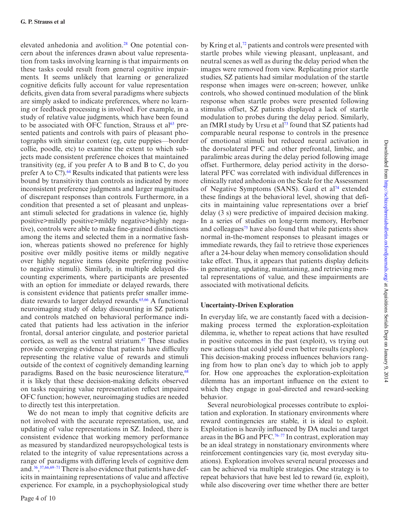elevated anhedonia and avolition.<sup>28</sup> One potential concern about the inferences drawn about value representation from tasks involving learning is that impairments on these tasks could result from general cognitive impairments. It seems unlikely that learning or generalized cognitive deficits fully account for value representation deficits, given data from several paradigms where subjects are simply asked to indicate preferences, where no learning or feedback processing is involved. For example, in a study of relative value judgments, which have been found to be associated with OFC function, Strauss et al.<sup>63</sup> presented patients and controls with pairs of pleasant photographs with similar context (eg, cute puppies—border collie, poodle, etc) to examine the extent to which subjects made consistent preference choices that maintained transitivity (eg, if you prefer A to B and B to C, do you prefer A to  $C$ ?).<sup>64</sup> Results indicated that patients were less bound by transitivity than controls as indicated by more inconsistent preference judgments and larger magnitudes of discrepant responses than controls. Furthermore, in a condition that presented a set of pleasant and unpleasant stimuli selected for gradations in valence (ie, highly positive>mildly positive>mildly negative>highly negative), controls were able to make fine-grained distinctions among the items and selected them in a normative fashion, whereas patients showed no preference for highly positive over mildly positive items or mildly negative over highly negative items (despite preferring positive to negative stimuli). Similarly, in multiple delayed discounting experiments, where participants are presented with an option for immediate or delayed rewards, there is consistent evidence that patients prefer smaller immediate rewards to larger delayed rewards. $65,66$  $65,66$  A functional neuroimaging study of delay discounting in SZ patients and controls matched on behavioral performance indicated that patients had less activation in the inferior frontal, dorsal anterior cingulate, and posterior parietal cortices, as well as the ventral striatum. $67$  These studies provide converging evidence that patients have difficulty representing the relative value of rewards and stimuli outside of the context of cognitively demanding learning paradigms. Based on the basic neuroscience literature,<sup>[68](#page-8-22)</sup> it is likely that these decision-making deficits observed on tasks requiring value representation reflect impaired OFC function; however, neuroimaging studies are needed to directly test this interpretation.

We do not mean to imply that cognitive deficits are not involved with the accurate representation, use, and updating of value representations in SZ. Indeed, there is consistent evidence that working memory performance as measured by standardized neuropsychological tests is related to the integrity of value representations across a range of paradigms with differing levels of cognitive dem and.<sup>36</sup>,<sup>[37,](#page-8-1)[66](#page-8-20)[,69–71](#page-8-23)</sup> There is also evidence that patients have deficits in maintaining representations of value and affective experience. For example, in a psychophysiological study

by Kring et al, $\frac{72}{2}$  patients and controls were presented with startle probes while viewing pleasant, unpleasant, and neutral scenes as well as during the delay period when the images were removed from view. Replicating prior startle studies, SZ patients had similar modulation of the startle response when images were on-screen; however, unlike controls, who showed continued modulation of the blink response when startle probes were presented following stimulus offset, SZ patients displayed a lack of startle modulation to probes during the delay period. Similarly, an fMRI study by Ursu et al<sup>73</sup> found that SZ patients had comparable neural response to controls in the presence of emotional stimuli but reduced neural activation in the dorsolateral PFC and other prefrontal, limbic, and paralimbic areas during the delay period following image offset. Furthermore, delay period activity in the dorsolateral PFC was correlated with individual differences in clinically rated anhedonia on the Scale for the Assessment of Negative Symptoms (SANS). Gard et  $al<sup>74</sup>$  extended these findings at the behavioral level, showing that deficits in maintaining value representations over a brief delay (3 s) were predictive of impaired decision making. In a series of studies on long-term memory, Herbener and colleagues<sup>75</sup> have also found that while patients show normal in-the-moment responses to pleasant images or immediate rewards, they fail to retrieve those experiences after a 24-hour delay when memory consolidation should take effect. Thus, it appears that patients display deficits in generating, updating, maintaining, and retrieving mental representations of value, and these impairments are associated with motivational deficits.

#### **Uncertainty-Driven Exploration**

In everyday life, we are constantly faced with a decisionmaking process termed the exploration-exploitation dilemma, ie, whether to repeat actions that have resulted in positive outcomes in the past (exploit), vs trying out new actions that could yield even better results (explore). This decision-making process influences behaviors ranging from how to plan one's day to which job to apply for. How one approaches the exploration-exploitation dilemma has an important influence on the extent to which they engage in goal-directed and reward-seeking behavior.

Several neurobiological processes contribute to exploitation and exploration. In stationary environments where reward contingencies are stable, it is ideal to exploit. Exploitation is heavily influenced by DA nuclei and target areas in the BG and PFC.<sup>76-77</sup> In contrast, exploration may be an ideal strategy in nonstationary environments where reinforcement contingencies vary (ie, most everyday situations). Exploration involves several neural processes and can be achieved via multiple strategies. One strategy is to repeat behaviors that have best led to reward (ie, exploit), while also discovering over time whether there are better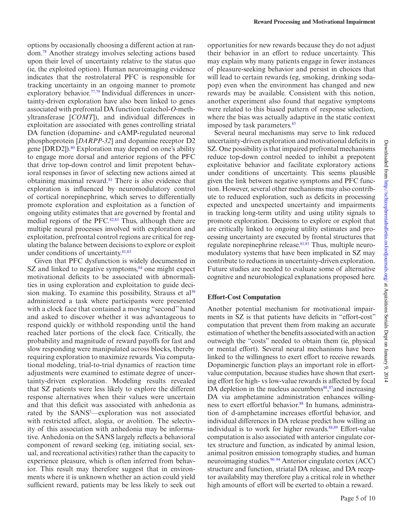options by occasionally choosing a different action at random.[78](#page-9-4) Another strategy involves selecting actions based upon their level of uncertainty relative to the status quo (ie, the exploited option). Human neuroimaging evidence indicates that the rostrolateral PFC is responsible for tracking uncertainty in an ongoing manner to promote exploratory behavior.<sup>77,79</sup> Individual differences in uncertainty-driven exploration have also been linked to genes associated with prefrontal DA function (catechol-*O*-methyltransferase [*COMT*]), and individual differences in exploitation are associated with genes controlling striatal DA function (dopamine- and cAMP-regulated neuronal phosphoprotein [*DARPP-32*] and dopamine receptor D2 gene [DRD2]).<sup>80</sup> Exploration may depend on one's ability to engage more dorsal and anterior regions of the PFC that drive top-down control and limit prepotent behavioral responses in favor of selecting new actions aimed at obtaining maximal reward.[81](#page-9-8) There is also evidence that exploration is influenced by neuromodulatory control of cortical norepinephrine, which serves to differentially promote exploration and exploitation as a function of ongoing utility estimates that are governed by frontal and medial regions of the PFC. $82,83$  $82,83$  Thus, although there are multiple neural processes involved with exploration and exploitation, prefrontal control regions are critical for regulating the balance between decisions to explore or exploit under conditions of uncertainty. $81,83$  $81,83$ 

Given that PFC dysfunction is widely documented in  $SZ$  and linked to negative symptoms, $84$  one might expect motivational deficits to be associated with abnormalities in using exploration and exploitation to guide decision making. To examine this possibility, Strauss et  $al<sup>39</sup>$  $al<sup>39</sup>$  $al<sup>39</sup>$ administered a task where participants were presented with a clock face that contained a moving "second" hand and asked to discover whether it was advantageous to respond quickly or withhold responding until the hand reached later portions of the clock face. Critically, the probability and magnitude of reward payoffs for fast and slow responding were manipulated across blocks, thereby requiring exploration to maximize rewards. Via computational modeling, trial-to-trial dynamics of reaction time adjustments were examined to estimate degree of uncertainty-driven exploration. Modeling results revealed that SZ patients were less likely to explore the different response alternatives when their values were uncertain and that this deficit was associated with anhedonia as rated by the SANS<sup>5</sup>—exploration was not associated with restricted affect, alogia, or avolition. The selectivity of this association with anhedonia may be informative. Anhedonia on the SANS largely reflects a behavioral component of reward seeking (eg, initiating social, sexual, and recreational activities) rather than the capacity to experience pleasure, which is often inferred from behavior. This result may therefore suggest that in environments where it is unknown whether an action could yield sufficient reward, patients may be less likely to seek out

opportunities for new rewards because they do not adjust their behavior in an effort to reduce uncertainty. This may explain why many patients engage in fewer instances of pleasure-seeking behavior and persist in choices that will lead to certain rewards (eg, smoking, drinking sodapop) even when the environment has changed and new rewards may be available. Consistent with this notion, another experiment also found that negative symptoms were related to this biased pattern of response selection, where the bias was actually adaptive in the static context imposed by task parameters.<sup>[85](#page-9-12)</sup>

Several neural mechanisms may serve to link reduced uncertainty-driven exploration and motivational deficits in SZ. One possibility is that impaired prefrontal mechanisms reduce top-down control needed to inhibit a prepotent exploitative behavior and facilitate exploratory actions under conditions of uncertainty. This seems plausible given the link between negative symptoms and PFC function. However, several other mechanisms may also contribute to reduced exploration, such as deficits in processing expected and unexpected uncertainty and impairments in tracking long-term utility and using utility signals to promote exploration. Decisions to explore or exploit that are critically linked to ongoing utility estimates and processing uncertainty are executed by frontal structures that regulate norepinephrine release.<sup>81,83</sup> Thus, multiple neuromodulatory systems that have been implicated in SZ may contribute to reductions in uncertainty-driven exploration. Future studies are needed to evaluate some of alternative cognitive and neurobiological explanations proposed here.

#### **Effort-Cost Computation**

Another potential mechanism for motivational impairments in SZ is that patients have deficits in "effort-cost" computation that prevent them from making an accurate estimation of whether the benefits associated with an action outweigh the "costs" needed to obtain them (ie, physical or mental effort). Several neural mechanisms have been linked to the willingness to exert effort to receive rewards. Dopaminergic function plays an important role in effortvalue computation, because studies have shown that exerting effort for high- vs low-value rewards is affected by focal DA depletion in the nucleus accumbens<sup>86</sup>,<sup>87</sup> and increasing DA via amphetamine administration enhances willingness to exert effortful behavior.<sup>88</sup> In humans, administration of d-amphetamine increases effortful behavior, and individual differences in DA release predict how willing an individual is to work for higher rewards.<sup>88,89</sup> Effort-value computation is also associated with anterior cingulate cortex structure and function, as indicated by animal lesion, animal positron emission tomography studies, and human neuroimaging studies[.90–94](#page-9-17) Anterior cingulate cortex (ACC) structure and function, striatal DA release, and DA receptor availability may therefore play a critical role in whether high amounts of effort will be exerted to obtain a reward.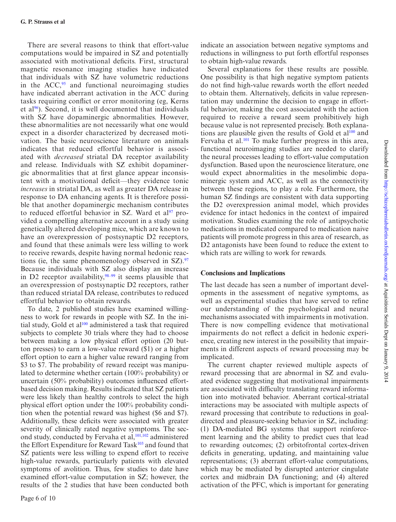There are several reasons to think that effort-value computations would be impaired in SZ and potentially associated with motivational deficits. First, structural magnetic resonance imaging studies have indicated that individuals with SZ have volumetric reductions in the  $ACC<sub>195</sub>$  and functional neuroimaging studies have indicated aberrant activation in the ACC during tasks requiring conflict or error monitoring (eg, Kerns et al<sup>96</sup>). Second, it is well documented that individuals with SZ have dopaminergic abnormalities. However, these abnormalities are not necessarily what one would expect in a disorder characterized by decreased motivation. The basic neuroscience literature on animals indicates that reduced effortful behavior is associated with *decreased* striatal DA receptor availability and release. Individuals with SZ exhibit dopaminergic abnormalities that at first glance appear inconsistent with a motivational deficit—they evidence tonic *increases* in striatal DA, as well as greater DA release in response to DA enhancing agents. It is therefore possible that another dopaminergic mechanism contributes to reduced effortful behavior in SZ. Ward et  $al<sup>97</sup>$  provided a compelling alternative account in a study using genetically altered developing mice, which are known to have an overexpression of postsynaptic D2 receptors, and found that these animals were less willing to work to receive rewards, despite having normal hedonic reactions (ie, the same phenomenology observed in SZ). $\frac{97}{6}$  $\frac{97}{6}$  $\frac{97}{6}$ Because individuals with SZ also display an increase in D2 receptor availability,  $98-99$  it seems plausible that an overexpression of postsynaptic D2 receptors, rather than reduced striatal DA release, contributes to reduced effortful behavior to obtain rewards.

To date, 2 published studies have examined willingness to work for rewards in people with SZ. In the initial study, Gold et al<sup>100</sup> administered a task that required subjects to complete 30 trials where they had to choose between making a low physical effort option (20 button presses) to earn a low-value reward (\$1) or a higher effort option to earn a higher value reward ranging from \$3 to \$7. The probability of reward receipt was manipulated to determine whether certain (100% probability) or uncertain (50% probability) outcomes influenced effortbased decision making. Results indicated that SZ patients were less likely than healthy controls to select the high physical effort option under the 100% probability condition when the potential reward was highest (\$6 and \$7). Additionally, these deficits were associated with greater severity of clinically rated negative symptoms. The sec-ond study, conducted by Fervaha et al,<sup>[101](#page-9-23),102</sup> administered the Effort Expenditure for Reward Task<sup>103</sup> and found that SZ patients were less willing to expend effort to receive high-value rewards, particularly patients with elevated symptoms of avolition. Thus, few studies to date have examined effort-value computation in SZ; however, the results of the 2 studies that have been conducted both

indicate an association between negative symptoms and reductions in willingness to put forth effortful responses to obtain high-value rewards.

Several explanations for these results are possible. One possibility is that high negative symptom patients do not find high-value rewards worth the effort needed to obtain them. Alternatively, deficits in value representation may undermine the decision to engage in effortful behavior, making the cost associated with the action required to receive a reward seem prohibitively high because value is not represented precisely. Both explanations are plausible given the results of Gold et  $al^{100}$  and Fervaha et al. $101$  To make further progress in this area, functional neuroimaging studies are needed to clarify the neural processes leading to effort-value computation dysfunction. Based upon the neuroscience literature, one would expect abnormalities in the mesolimbic dopaminergic system and ACC, as well as the connectivity between these regions, to play a role. Furthermore, the human SZ findings are consistent with data supporting the D2 overexpression animal model, which provides evidence for intact hedonics in the context of impaired motivation. Studies examining the role of antipsychotic medications in medicated compared to medication naive patients will promote progress in this area of research, as D2 antagonists have been found to reduce the extent to which rats are willing to work for rewards.

#### **Conclusions and Implications**

The last decade has seen a number of important developments in the assessment of negative symptoms, as well as experimental studies that have served to refine our understanding of the psychological and neural mechanisms associated with impairments in motivation. There is now compelling evidence that motivational impairments do not reflect a deficit in hedonic experience, creating new interest in the possibility that impairments in different aspects of reward processing may be implicated.

The current chapter reviewed multiple aspects of reward processing that are abnormal in SZ and evaluated evidence suggesting that motivational impairments are associated with difficulty translating reward information into motivated behavior. Aberrant cortical-striatal interactions may be associated with multiple aspects of reward processing that contribute to reductions in goaldirected and pleasure-seeking behavior in SZ, including: (1) DA-mediated BG systems that support reinforcement learning and the ability to predict cues that lead to rewarding outcomes; (2) orbitofrontal cortex-driven deficits in generating, updating, and maintaining value representations; (3) aberrant effort-value computations, which may be mediated by disrupted anterior cingulate cortex and midbrain DA functioning; and (4) altered activation of the PFC, which is important for generating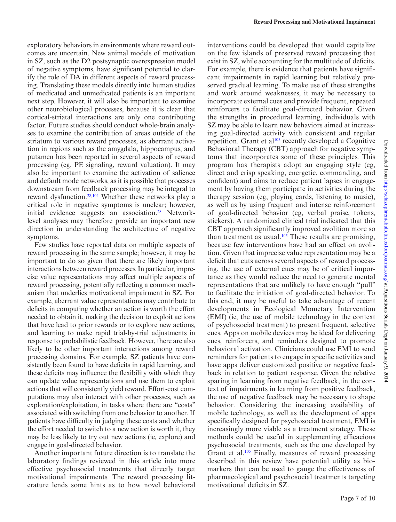exploratory behaviors in environments where reward outcomes are uncertain. New animal models of motivation in SZ, such as the D2 postsynaptic overexpression model of negative symptoms, have significant potential to clarify the role of DA in different aspects of reward processing. Translating these models directly into human studies of medicated and unmedicated patients is an important next step. However, it will also be important to examine other neurobiological processes, because it is clear that cortical-striatal interactions are only one contributing factor. Future studies should conduct whole-brain analyses to examine the contribution of areas outside of the striatum to various reward processes, as aberrant activation in regions such as the amygdala, hippocampus, and putamen has been reported in several aspects of reward processing (eg, PE signaling, reward valuation). It may also be important to examine the activation of salience and default mode networks, as it is possible that processes downstream from feedback processing may be integral to reward dysfunction.[28,](#page-7-21)[104](#page-9-26) Whether these networks play a critical role in negative symptoms is unclear; however, initial evidence suggests an association.<sup>28</sup> Networklevel analyses may therefore provide an important new direction in understanding the architecture of negative symptoms.

Few studies have reported data on multiple aspects of reward processing in the same sample; however, it may be important to do so given that there are likely important interactions between reward processes. In particular, imprecise value representations may affect multiple aspects of reward processing, potentially reflecting a common mechanism that underlies motivational impairment in SZ. For example, aberrant value representations may contribute to deficits in computing whether an action is worth the effort needed to obtain it, making the decision to exploit actions that have lead to prior rewards or to explore new actions, and learning to make rapid trial-by-trial adjustments in response to probabilistic feedback. However, there are also likely to be other important interactions among reward processing domains. For example, SZ patients have consistently been found to have deficits in rapid learning, and these deficits may influence the flexibility with which they can update value representations and use them to exploit actions that will consistently yield reward. Effort-cost computations may also interact with other processes, such as exploration/exploitation, in tasks where there are "costs" associated with switching from one behavior to another. If patients have difficulty in judging these costs and whether the effort needed to switch to a new action is worth it, they may be less likely to try out new actions (ie, explore) and engage in goal-directed behavior.

Another important future direction is to translate the laboratory findings reviewed in this article into more effective psychosocial treatments that directly target motivational impairments. The reward processing literature lends some hints as to how novel behavioral interventions could be developed that would capitalize on the few islands of preserved reward processing that exist in SZ, while accounting for the multitude of deficits. For example, there is evidence that patients have significant impairments in rapid learning but relatively preserved gradual learning. To make use of these strengths and work around weaknesses, it may be necessary to incorporate external cues and provide frequent, repeated reinforcers to facilitate goal-directed behavior. Given the strengths in procedural learning, individuals with SZ may be able to learn new behaviors aimed at increasing goal-directed activity with consistent and regular repetition. Grant et al<sup>105</sup> recently developed a Cognitive Behavioral Therapy (CBT) approach for negative symptoms that incorporates some of these principles. This program has therapists adopt an engaging style (eg, direct and crisp speaking, energetic, commanding, and confident) and aims to reduce patient lapses in engagement by having them participate in activities during the therapy session (eg, playing cards, listening to music), as well as by using frequent and intense reinforcement of goal-directed behavior (eg, verbal praise, tokens, stickers). A randomized clinical trial indicated that this CBT approach significantly improved avolition more so than treatment as usual.<sup>[105](#page-9-27)</sup> These results are promising, because few interventions have had an effect on avolition. Given that imprecise value representation may be a deficit that cuts across several aspects of reward processing, the use of external cues may be of critical importance as they would reduce the need to generate mental representations that are unlikely to have enough "pull" to facilitate the initiation of goal-directed behavior. To this end, it may be useful to take advantage of recent developments in Ecological Mometary Intervention (EMI) (ie, the use of mobile technology in the context of psychosocial treatment) to present frequent, selective cues. Apps on mobile devices may be ideal for delivering cues, reinforcers, and reminders designed to promote behavioral activation. Clinicians could use EMI to send reminders for patients to engage in specific activities and have apps deliver customized positive or negative feedback in relation to patient response. Given the relative sparing in learning from negative feedback, in the context of impairments in learning from positive feedback, the use of negative feedback may be necessary to shape behavior. Considering the increasing availability of mobile technology, as well as the development of apps specifically designed for psychosocial treatment, EMI is increasingly more viable as a treatment strategy. These methods could be useful in supplementing efficacious psychosocial treatments, such as the one developed by Grant et al.<sup>[105](#page-9-27)</sup> Finally, measures of reward processing described in this review have potential utility as biomarkers that can be used to gauge the effectiveness of pharmacological and psychosocial treatments targeting motivational deficits in SZ.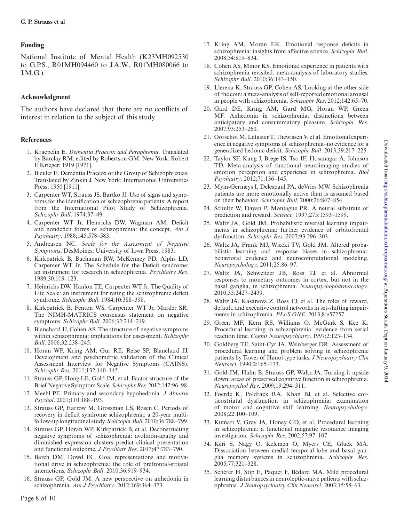## **Funding**

National Institute of Mental Health (K23MH092530 to G.P.S., R01MH094460 to J.A.W., R01MH080066 to J.M.G.).

# **Acknowledgment**

The authors have declared that there are no conflicts of interest in relation to the subject of this study.

## **References**

- <span id="page-7-0"></span>1. Kraepelin E. *Dementia Praecox and Paraphrenia*. Translated by Barclay RM; edited by Robertson GM. New York: Robert E Krieger; 1919 [1971].
- <span id="page-7-1"></span>2. Bleuler E. Dementia Praecox or the Group of Schizophrenias. Translated by Zinkin J. New York: International Universities Press; 1950 [1911].
- <span id="page-7-2"></span>3. Carpenter WT, Strauss JS, Bartko JJ. Use of signs and symptoms for the identification of schizophrenic patients: A report from the International Pilot Study of Schizophrenia. *Schizophr Bull*. 1974:37–49.
- <span id="page-7-3"></span>4. Carpenter WT Jr, Heinrichs DW, Wagman AM. Deficit and nondeficit forms of schizophrenia: the concept. *Am J Psychiatry*. 1988;145:578–583.
- <span id="page-7-4"></span>5. Andreasen NC. *Scale for the Assessment of Negative Symptoms*. DesMoines: University of Iowa Press; 1983.
- 6. Kirkpatrick B, Buchanan RW, McKenney PD, Alphs LD, Carpenter WT Jr. The Schedule for the Deficit syndrome: an instrument for research in schizophrenia. *Psychiatry Res*. 1989;30:119–123.
- 7. Heinrichs DW, Hanlon TE, Carpenter WT Jr. The Quality of Life Scale: an instrument for rating the schizophrenic deficit syndrome. *Schizophr Bull*. 1984;10:388–398.
- <span id="page-7-5"></span>8. Kirkpatrick B, Fenton WS, Carpenter WT Jr, Marder SR. The NIMH-MATRICS consensus statement on negative symptoms. *Schizophr Bull*. 2006;32:214–219.
- <span id="page-7-6"></span>9. Blanchard JJ, Cohen AS. The structure of negative symptoms within schizophrenia: implications for assessment. *Schizophr Bull*. 2006;32:238–245.
- 10. Horan WP, Kring AM, Gur RE, Reise SP, Blanchard JJ. Development and psychometric validation of the Clinical Assessment Interview for Negative Symptoms (CAINS). *Schizophr Res*. 2011;132:140–145.
- 11. Strauss GP, Hong LE, Gold JM, et al. Factor structure of the Brief Negative Symptom Scale. *Schizophr Res*. 2012;142:96–98.
- <span id="page-7-7"></span>12. Meehl PE. Primary and secondary hypohedonia. *J Abnorm Psychol*. 2001;110:188–193.
- 13. Strauss GP, Harrow M, Grossman LS, Rosen C. Periods of recovery in deficit syndrome schizophrenia: a 20-year multifollow-up longitudinal study. *Schizophr Bull*. 2010;36:788–799.
- 14. Strauss GP, Horan WP, Kirkpatrick B, et al. Deconstructing negative symptoms of schizophrenia: avolition-apathy and diminished expression clusters predict clinical presentation and functional outcome. *J Psychiatr Res*. 2013;47:783–790.
- <span id="page-7-8"></span>15. Barch DM, Dowd EC. Goal representations and motivational drive in schizophrenia: the role of prefrontal-striatal interactions. *Schizophr Bull*. 2010;36:919–934.
- <span id="page-7-9"></span>16. Strauss GP, Gold JM. A new perspective on anhedonia in schizophrenia. *Am J Psychiatry*. 2012;169:364–373.
- <span id="page-7-10"></span>17. Kring AM, Moran EK. Emotional response deficits in schizophrenia: insights from affective science. *Schizophr Bull*. 2008;34:819–834.
- <span id="page-7-11"></span>18. Cohen AS, Minor KS. Emotional experience in patients with schizophrenia revisited: meta-analysis of laboratory studies. *Schizophr Bull*. 2010;36:143–150.
- <span id="page-7-12"></span>19. Llerena K, Strauss GP, Cohen AS. Looking at the other side of the coin: a meta-analysis of self-reported emotional arousal in people with schizophrenia. *Schizophr Res*. 2012;142:65–70.
- <span id="page-7-13"></span>20. Gard DE, Kring AM, Gard MG, Horan WP, Green MF. Anhedonia in schizophrenia: distinctions between anticipatory and consummatory pleasure. *Schizophr Res*. 2007;93:253–260.
- <span id="page-7-14"></span>21. Oorschot M, Lataster T, Thewissen V, et al. Emotional experience in negative symptoms of schizophrenia–no evidence for a generalized hedonic deficit. *Schizophr Bull*. 2013;39:217–225.
- <span id="page-7-15"></span>22. Taylor SF, Kang J, Brege IS, Tso IF, Hosanagar A, Johnson TD. Meta-analysis of functional neuroimaging studies of emotion perception and experience in schizophrenia. *Biol Psychiatry*. 2012;71:136–145.
- <span id="page-7-16"></span>23. Myin-Germeys I, Delespaul PA, deVries MW. Schizophrenia patients are more emotionally active than is assumed based on their behavior. *Schizophr Bull*. 2000;26:847–854.
- <span id="page-7-17"></span>24. Schultz W, Dayan P, Montague PR. A neural substrate of prediction and reward. *Science*. 1997;275:1593–1599.
- <span id="page-7-18"></span>25. Waltz JA, Gold JM. Probabilistic reversal learning impairments in schizophrenia: further evidence of orbitofrontal dysfunction. *Schizophr Res*. 2007;93:296–303.
- <span id="page-7-19"></span>26. Waltz JA, Frank MJ, Wiecki TV, Gold JM. Altered probabilistic learning and response biases in schizophrenia: behavioral evidence and neurocomputational modeling. *Neuropsychology*. 2011;25:86–97.
- <span id="page-7-20"></span>27. Waltz JA, Schweitzer JB, Ross TJ, et al. Abnormal responses to monetary outcomes in cortex, but not in the basal ganglia, in schizophrenia. *Neuropsychopharmacology*. 2010;35:2427–2439.
- <span id="page-7-21"></span>28. Waltz JA, Kasanova Z, Ross TJ, et al. The roles of reward, default, and executive control networks in set-shifting impairments in schizophrenia. *PLoS ONE*. 2013;8:e57257.
- <span id="page-7-22"></span>29. Green MF, Kern RS, Williams O, McGurk S, Kee K. Procedural learning in schizophrenia: evidence from serial reaction time. *Cognit Neuropsychiatry*. 1997;2:123–134.
- 30. Goldberg TE, Saint-Cyr JA, Weinberger DR. Assessment of procedural learning and problem solving in schizophrenic patients by Tower of Hanoi type tasks. *J Neuropsychiatry Clin Neurosci*. 1990;2:165–173.
- 31. Gold JM, Hahn B, Strauss GP, Waltz JA. Turning it upside down: areas of preserved cognitive function in schizophrenia. *Neuropsychol Rev*. 2009;19:294–311.
- <span id="page-7-23"></span>32. Foerde K, Poldrack RA, Khan BJ, et al. Selective corticostriatal dysfunction in schizophrenia: examination of motor and cognitive skill learning. *Neuropsychology*. 2008;22:100–109.
- <span id="page-7-24"></span>33. Kumari V, Gray JA, Honey GD, et al. Procedural learning in schizophrenia: a functional magnetic resonance imaging investigation. *Schizophr Res*. 2002;57:97–107.
- <span id="page-7-25"></span>34. Kéri S, Nagy O, Kelemen O, Myers CE, Gluck MA. Dissociation between medial temporal lobe and basal ganglia memory systems in schizophrenia. *Schizophr Res*. 2005;77:321–328.
- <span id="page-7-26"></span>35. Schérer H, Stip E, Paquet F, Bédard MA. Mild procedural learning disturbances in neuroleptic-naive patients with schizophrenia. *J Neuropsychiatry Clin Neurosci*. 2003;15:58–63.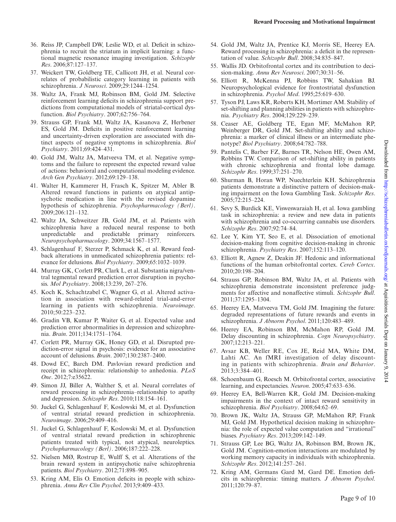2014

- <span id="page-8-0"></span>36. Reiss JP, Campbell DW, Leslie WD, et al. Deficit in schizophrenia to recruit the striatum in implicit learning: a functional magnetic resonance imaging investigation. *Schizophr Res*. 2006;87:127–137.
- <span id="page-8-1"></span>37. Weickert TW, Goldberg TE, Callicott JH, et al. Neural correlates of probabilistic category learning in patients with schizophrenia. *J Neurosci*. 2009;29:1244–1254.
- <span id="page-8-2"></span>38. Waltz JA, Frank MJ, Robinson BM, Gold JM. Selective reinforcement learning deficits in schizophrenia support predictions from computational models of striatal-cortical dysfunction. *Biol Psychiatry*. 2007;62:756–764.
- <span id="page-8-3"></span>39. Strauss GP, Frank MJ, Waltz JA, Kasanova Z, Herbener ES, Gold JM. Deficits in positive reinforcement learning and uncertainty-driven exploration are associated with distinct aspects of negative symptoms in schizophrenia. *Biol Psychiatry*. 2011;69:424–431.
- <span id="page-8-4"></span>40. Gold JM, Waltz JA, Matveeva TM, et al. Negative symptoms and the failure to represent the expected reward value of actions: behavioral and computational modeling evidence. *Arch Gen Psychiatry*. 2012;69:129–138.
- <span id="page-8-5"></span>41. Walter H, Kammerer H, Frasch K, Spitzer M, Abler B. Altered reward functions in patients on atypical antipsychotic medication in line with the revised dopamine hypothesis of schizophrenia. *Psychopharmacology (Berl)*. 2009;206:121–132.
- <span id="page-8-6"></span>42. Waltz JA, Schweitzer JB, Gold JM, et al. Patients with schizophrenia have a reduced neural response to both unpredictable and predictable primary reinforcers. *Neuropsychopharmacology*. 2009;34:1567–1577.
- 43. Schlagenhauf F, Sterzer P, Schmack K, et al. Reward feedback alterations in unmedicated schizophrenia patients: relevance for delusions. *Biol Psychiatry*. 2009;65:1032–1039.
- 44. Murray GK, Corlett PR, Clark L, et al. Substantia nigra/ventral tegmental reward prediction error disruption in psychosis. *Mol Psychiatry*. 2008;13:239, 267–276.
- 45. Koch K, Schachtzabel C, Wagner G, et al. Altered activation in association with reward-related trial-and-error learning in patients with schizophrenia. *Neuroimage*. 2010;50:223–232.
- 46. Gradin VB, Kumar P, Waiter G, et al. Expected value and prediction error abnormalities in depression and schizophrenia. *Brain*. 2011;134:1751–1764.
- 47. Corlett PR, Murray GK, Honey GD, et al. Disrupted prediction-error signal in psychosis: evidence for an associative account of delusions. *Brain*. 2007;130:2387–2400.
- <span id="page-8-7"></span>48. Dowd EC, Barch DM. Pavlovian reward prediction and receipt in schizophrenia: relationship to anhedonia. *PLoS One*. 2012;7:e35622.
- <span id="page-8-8"></span>49. Simon JJ, Biller A, Walther S, et al. Neural correlates of reward processing in schizophrenia–relationship to apathy and depression. *Schizophr Res*. 2010;118:154–161.
- <span id="page-8-9"></span>50. Juckel G, Schlagenhauf F, Koslowski M, et al. Dysfunction of ventral striatal reward prediction in schizophrenia. *Neuroimage*. 2006;29:409–416.
- <span id="page-8-10"></span>51. Juckel G, Schlagenhauf F, Koslowski M, et al. Dysfunction of ventral striatal reward prediction in schizophrenic patients treated with typical, not atypical, neuroleptics. *Psychopharmacology (Berl)*. 2006;187:222–228.
- <span id="page-8-11"></span>52. Nielsen MØ, Rostrup E, Wulff S, et al. Alterations of the brain reward system in antipsychotic naïve schizophrenia patients. *Biol Psychiatry*. 2012;71:898–905.
- <span id="page-8-12"></span>53. Kring AM, Elis O. Emotion deficits in people with schizophrenia. *Annu Rev Clin Psychol*. 2013;9:409–433.
- <span id="page-8-13"></span>54. Gold JM, Waltz JA, Prentice KJ, Morris SE, Heerey EA. Reward processing in schizophrenia: a deficit in the representation of value. *Schizophr Bull*. 2008;34:835–847.
- <span id="page-8-14"></span>55. Wallis JD. Orbitofrontal cortex and its contribution to decision-making. *Annu Rev Neurosci*. 2007;30:31–56.
- <span id="page-8-15"></span>56. Elliott R, McKenna PJ, Robbins TW, Sahakian BJ. Neuropsychological evidence for frontostriatal dysfunction in schizophrenia. *Psychol Med*. 1995;25:619–630.
- 57. Tyson PJ, Laws KR, Roberts KH, Mortimer AM. Stability of set-shifting and planning abilities in patients with schizophrenia. *Psychiatry Res*. 2004;129:229–239.
- 58. Ceaser AE, Goldberg TE, Egan MF, McMahon RP, Weinberger DR, Gold JM. Set-shifting ability and schizophrenia: a marker of clinical illness or an intermediate phenotype? *Biol Psychiatry*. 2008;64:782–788.
- 59. Pantelis C, Barber FZ, Barnes TR, Nelson HE, Owen AM, Robbins TW. Comparison of set-shifting ability in patients with chronic schizophrenia and frontal lobe damage. *Schizophr Res*. 1999;37:251–270.
- <span id="page-8-16"></span>60. Shurman B, Horan WP, Nuechterlein KH. Schizophrenia patients demonstrate a distinctive pattern of decision-making impairment on the Iowa Gambling Task. *Schizophr Res*. 2005;72:215–224.
- 61. Sevy S, Burdick KE, Visweswaraiah H, et al. Iowa gambling task in schizophrenia: a review and new data in patients with schizophrenia and co-occurring cannabis use disorders. *Schizophr Res*. 2007;92:74–84.
- 62. Lee Y, Kim YT, Seo E, et al. Dissociation of emotional decision-making from cognitive decision-making in chronic schizophrenia. *Psychiatry Res*. 2007;152:113–120.
- <span id="page-8-17"></span>63. Elliott R, Agnew Z, Deakin JF. Hedonic and informational functions of the human orbitofrontal cortex. *Cereb Cortex*. 2010;20:198–204.
- <span id="page-8-18"></span>64. Strauss GP, Robinson BM, Waltz JA, et al. Patients with schizophrenia demonstrate inconsistent preference judgments for affective and nonaffective stimuli. *Schizophr Bull*. 2011;37:1295–1304.
- <span id="page-8-19"></span>65. Heerey EA, Matveeva TM, Gold JM. Imagining the future: degraded representations of future rewards and events in schizophrenia. *J Abnorm Psychol*. 2011;120:483–489.
- <span id="page-8-20"></span>66. Heerey EA, Robinson BM, McMahon RP, Gold JM. Delay discounting in schizophrenia. *Cogn Neuropsychiatry*. 2007;12:213–221.
- <span id="page-8-21"></span>67. Avsar KB, Weller RE, Cox JE, Reid MA, White DM, Lahti AC. An fMRI investigation of delay discounting in patients with schizophrenia. *Brain and Behavior*. 2013;3:384–401.
- <span id="page-8-22"></span>68. Schoenbaum G, Roesch M. Orbitofrontal cortex, associative learning, and expectancies. *Neuron*. 2005;47:633–636.
- <span id="page-8-23"></span>69. Heerey EA, Bell-Warren KR, Gold JM. Decision-making impairments in the context of intact reward sensitivity in schizophrenia. *Biol Psychiatry*. 2008;64:62–69.
- 70. Brown JK, Waltz JA, Strauss GP, McMahon RP, Frank MJ, Gold JM. Hypothetical decision making in schizophrenia: the role of expected value computation and "irrational" biases. *Psychiatry Res*. 2013;209:142–149.
- 71. Strauss GP, Lee BG, Waltz JA, Robinson BM, Brown JK, Gold JM. Cognition-emotion interactions are modulated by working memory capacity in individuals with schizophrenia. *Schizophr Res*. 2012;141:257–261.
- <span id="page-8-24"></span>72. Kring AM, Germans Gard M, Gard DE. Emotion deficits in schizophrenia: timing matters. *J Abnorm Psychol*. 2011;120:79–87.